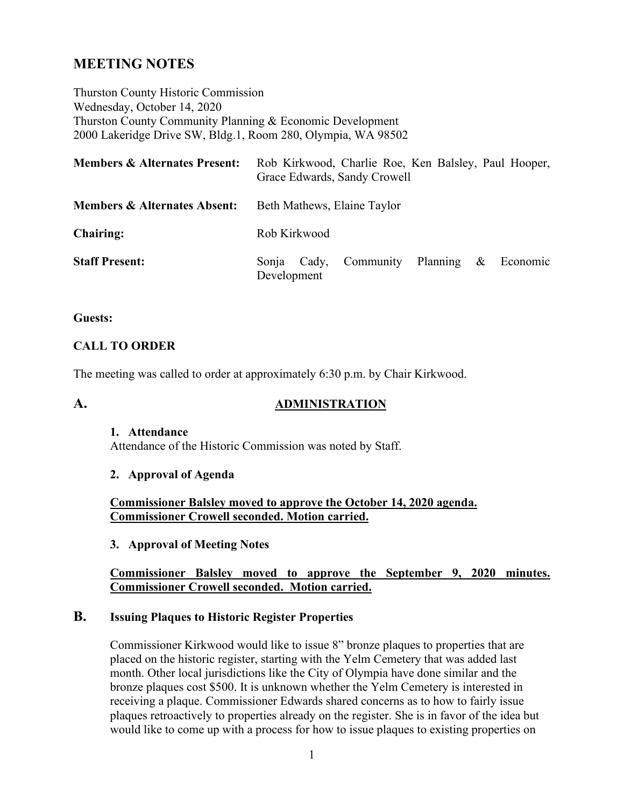# **MEETING NOTES**

Thurston County Historic Commission Wednesday, October 14, 2020 Thurston County Community Planning & Economic Development 2000 Lakeridge Drive SW, Bldg.1, Room 280, Olympia, WA 98502

| <b>Members &amp; Alternates Present:</b> | Rob Kirkwood, Charlie Roe, Ken Balsley, Paul Hooper,<br>Grace Edwards, Sandy Crowell |  |
|------------------------------------------|--------------------------------------------------------------------------------------|--|
| <b>Members &amp; Alternates Absent:</b>  | Beth Mathews, Elaine Taylor                                                          |  |
| <b>Chairing:</b>                         | Rob Kirkwood                                                                         |  |
| <b>Staff Present:</b>                    | Community Planning<br>$\&$<br>Economic<br>Cady,<br>Sonia<br>Development              |  |

#### **Guests:**

## **CALL TO ORDER**

The meeting was called to order at approximately 6:30 p.m. by Chair Kirkwood.

### **A. ADMINISTRATION**

#### **1. Attendance**

Attendance of the Historic Commission was noted by Staff.

#### **2. Approval of Agenda**

**Commissioner Balsley moved to approve the October 14, 2020 agenda. Commissioner Crowell seconded. Motion carried.**

#### **3. Approval of Meeting Notes**

#### **Commissioner Balsley moved to approve the September 9, 2020 minutes. Commissioner Crowell seconded. Motion carried.**

## **B. Issuing Plaques to Historic Register Properties**

Commissioner Kirkwood would like to issue 8" bronze plaques to properties that are placed on the historic register, starting with the Yelm Cemetery that was added last month. Other local jurisdictions like the City of Olympia have done similar and the bronze plaques cost \$500. It is unknown whether the Yelm Cemetery is interested in receiving a plaque. Commissioner Edwards shared concerns as to how to fairly issue plaques retroactively to properties already on the register. She is in favor of the idea but would like to come up with a process for how to issue plaques to existing properties on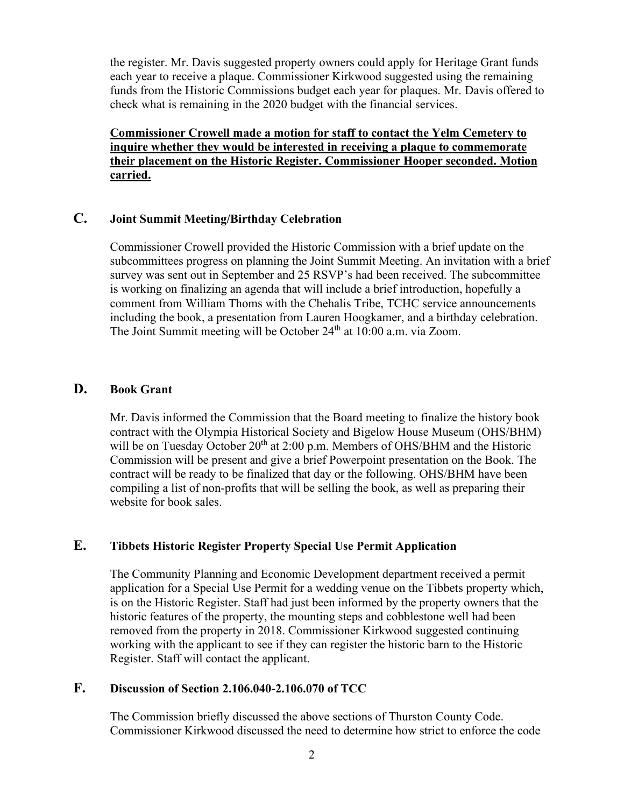the register. Mr. Davis suggested property owners could apply for Heritage Grant funds each year to receive a plaque. Commissioner Kirkwood suggested using the remaining funds from the Historic Commissions budget each year for plaques. Mr. Davis offered to check what is remaining in the 2020 budget with the financial services.

**Commissioner Crowell made a motion for staff to contact the Yelm Cemetery to inquire whether they would be interested in receiving a plaque to commemorate their placement on the Historic Register. Commissioner Hooper seconded. Motion carried.**

## **C. Joint Summit Meeting/Birthday Celebration**

Commissioner Crowell provided the Historic Commission with a brief update on the subcommittees progress on planning the Joint Summit Meeting. An invitation with a brief survey was sent out in September and 25 RSVP's had been received. The subcommittee is working on finalizing an agenda that will include a brief introduction, hopefully a comment from William Thoms with the Chehalis Tribe, TCHC service announcements including the book, a presentation from Lauren Hoogkamer, and a birthday celebration. The Joint Summit meeting will be October 24<sup>th</sup> at 10:00 a.m. via Zoom.

## **D. Book Grant**

Mr. Davis informed the Commission that the Board meeting to finalize the history book contract with the Olympia Historical Society and Bigelow House Museum (OHS/BHM) will be on Tuesday October  $20<sup>th</sup>$  at 2:00 p.m. Members of OHS/BHM and the Historic Commission will be present and give a brief Powerpoint presentation on the Book. The contract will be ready to be finalized that day or the following. OHS/BHM have been compiling a list of non-profits that will be selling the book, as well as preparing their website for book sales.

## **E. Tibbets Historic Register Property Special Use Permit Application**

The Community Planning and Economic Development department received a permit application for a Special Use Permit for a wedding venue on the Tibbets property which, is on the Historic Register. Staff had just been informed by the property owners that the historic features of the property, the mounting steps and cobblestone well had been removed from the property in 2018. Commissioner Kirkwood suggested continuing working with the applicant to see if they can register the historic barn to the Historic Register. Staff will contact the applicant.

## **F. Discussion of Section 2.106.040-2.106.070 of TCC**

The Commission briefly discussed the above sections of Thurston County Code. Commissioner Kirkwood discussed the need to determine how strict to enforce the code